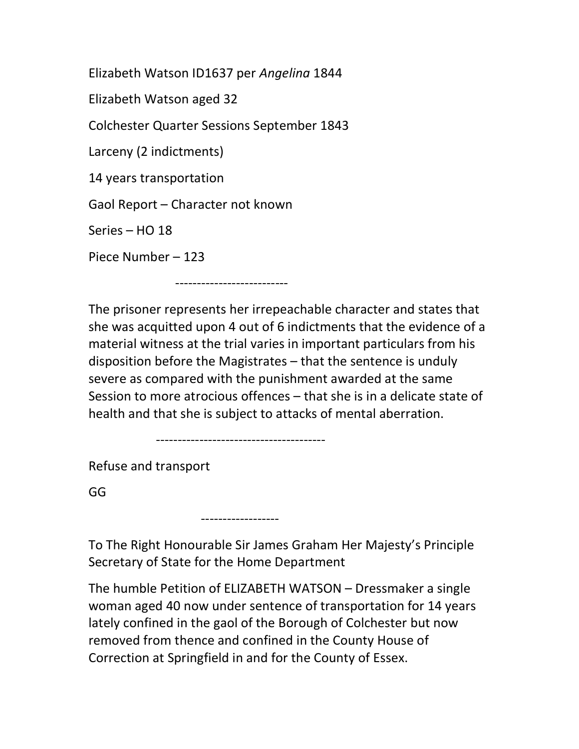Elizabeth Watson ID1637 per Angelina 1844 Elizabeth Watson aged 32 Colchester Quarter Sessions September 1843 Larceny (2 indictments) 14 years transportation Gaol Report – Character not known Series – HO 18 Piece Number – 123

--------------------------

The prisoner represents her irrepeachable character and states that she was acquitted upon 4 out of 6 indictments that the evidence of a material witness at the trial varies in important particulars from his disposition before the Magistrates – that the sentence is unduly severe as compared with the punishment awarded at the same Session to more atrocious offences – that she is in a delicate state of health and that she is subject to attacks of mental aberration.

---------------------------------------

------------------

Refuse and transport

GG

To The Right Honourable Sir James Graham Her Majesty's Principle Secretary of State for the Home Department

The humble Petition of ELIZABETH WATSON – Dressmaker a single woman aged 40 now under sentence of transportation for 14 years lately confined in the gaol of the Borough of Colchester but now removed from thence and confined in the County House of Correction at Springfield in and for the County of Essex.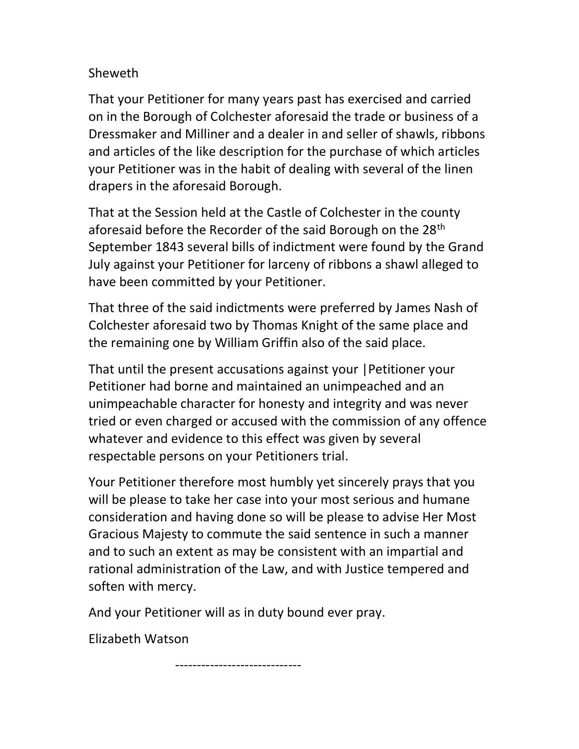## Sheweth

That your Petitioner for many years past has exercised and carried on in the Borough of Colchester aforesaid the trade or business of a Dressmaker and Milliner and a dealer in and seller of shawls, ribbons and articles of the like description for the purchase of which articles your Petitioner was in the habit of dealing with several of the linen drapers in the aforesaid Borough.

That at the Session held at the Castle of Colchester in the county aforesaid before the Recorder of the said Borough on the 28<sup>th</sup> September 1843 several bills of indictment were found by the Grand July against your Petitioner for larceny of ribbons a shawl alleged to have been committed by your Petitioner.

That three of the said indictments were preferred by James Nash of Colchester aforesaid two by Thomas Knight of the same place and the remaining one by William Griffin also of the said place.

That until the present accusations against your |Petitioner your Petitioner had borne and maintained an unimpeached and an unimpeachable character for honesty and integrity and was never tried or even charged or accused with the commission of any offence whatever and evidence to this effect was given by several respectable persons on your Petitioners trial.

Your Petitioner therefore most humbly yet sincerely prays that you will be please to take her case into your most serious and humane consideration and having done so will be please to advise Her Most Gracious Majesty to commute the said sentence in such a manner and to such an extent as may be consistent with an impartial and rational administration of the Law, and with Justice tempered and soften with mercy.

And your Petitioner will as in duty bound ever pray.

Elizabeth Watson

-----------------------------